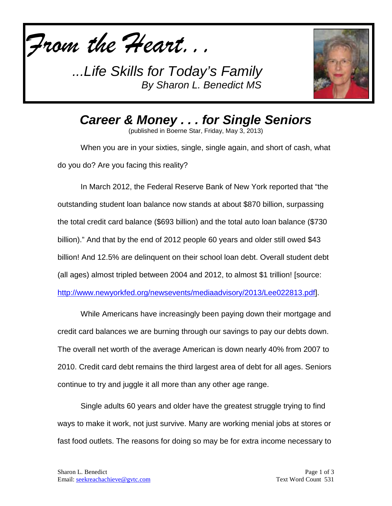



*Career & Money . . . for Single Seniors*

(published in Boerne Star, Friday, May 3, 2013)

When you are in your sixties, single, single again, and short of cash, what do you do? Are you facing this reality?

In March 2012, the Federal Reserve Bank of New York reported that "the outstanding student loan balance now stands at about \$870 billion, surpassing the total credit card balance (\$693 billion) and the total auto loan balance (\$730 billion)." And that by the end of 2012 people 60 years and older still owed \$43 billion! And 12.5% are delinquent on their school loan debt. Overall student debt (all ages) almost tripled between 2004 and 2012, to almost \$1 trillion! [source:

[http://www.newyorkfed.org/newsevents/mediaadvisory/2013/Lee022813.pdf\]](http://www.newyorkfed.org/newsevents/mediaadvisory/2013/Lee022813.pdf).

While Americans have increasingly been paying down their mortgage and credit card balances we are burning through our savings to pay our debts down. The overall net worth of the average American is down nearly 40% from 2007 to 2010. Credit card debt remains the third largest area of debt for all ages. Seniors continue to try and juggle it all more than any other age range.

Single adults 60 years and older have the greatest struggle trying to find ways to make it work, not just survive. Many are working menial jobs at stores or fast food outlets. The reasons for doing so may be for extra income necessary to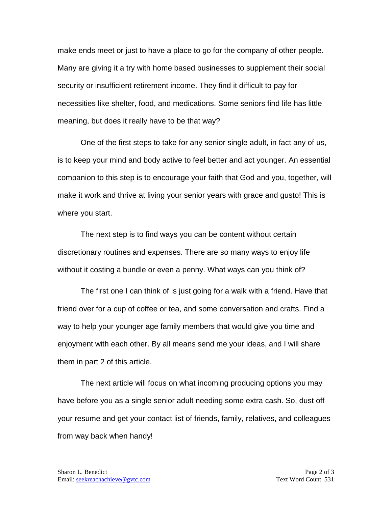make ends meet or just to have a place to go for the company of other people. Many are giving it a try with home based businesses to supplement their social security or insufficient retirement income. They find it difficult to pay for necessities like shelter, food, and medications. Some seniors find life has little meaning, but does it really have to be that way?

One of the first steps to take for any senior single adult, in fact any of us, is to keep your mind and body active to feel better and act younger. An essential companion to this step is to encourage your faith that God and you, together, will make it work and thrive at living your senior years with grace and gusto! This is where you start.

The next step is to find ways you can be content without certain discretionary routines and expenses. There are so many ways to enjoy life without it costing a bundle or even a penny. What ways can you think of?

The first one I can think of is just going for a walk with a friend. Have that friend over for a cup of coffee or tea, and some conversation and crafts. Find a way to help your younger age family members that would give you time and enjoyment with each other. By all means send me your ideas, and I will share them in part 2 of this article.

The next article will focus on what incoming producing options you may have before you as a single senior adult needing some extra cash. So, dust off your resume and get your contact list of friends, family, relatives, and colleagues from way back when handy!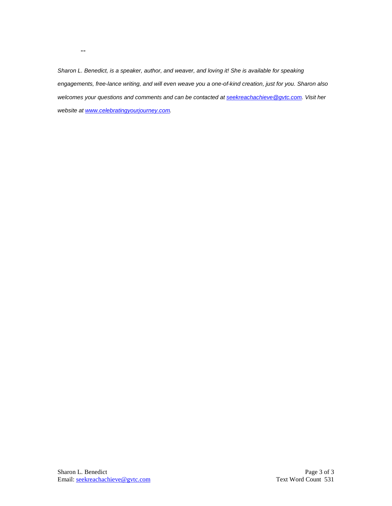*Sharon L. Benedict, is a speaker, author, and weaver, and loving it! She is available for speaking engagements, free-lance writing, and will even weave you a one-of-kind creation, just for you. Sharon also welcomes your questions and comments and can be contacted a[t seekreachachieve@gvtc.com.](mailto:seekreachachieve@gvtc.com) Visit her website at [www.celebratingyourjourney.com.](http://www.celebratingyourjourney.com/)*

--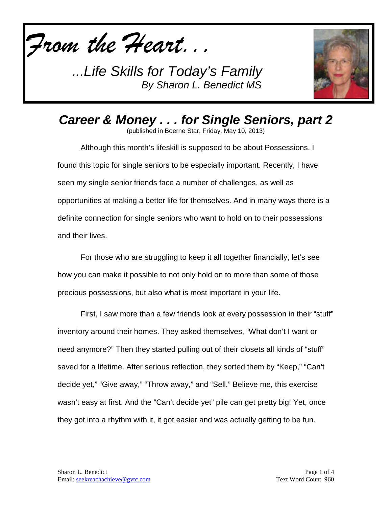



*Career & Money . . . for Single Seniors, part 2* (published in Boerne Star, Friday, May 10, 2013)

Although this month's lifeskill is supposed to be about Possessions, I found this topic for single seniors to be especially important. Recently, I have seen my single senior friends face a number of challenges, as well as opportunities at making a better life for themselves. And in many ways there is a definite connection for single seniors who want to hold on to their possessions and their lives.

For those who are struggling to keep it all together financially, let's see how you can make it possible to not only hold on to more than some of those precious possessions, but also what is most important in your life.

First, I saw more than a few friends look at every possession in their "stuff" inventory around their homes. They asked themselves, "What don't I want or need anymore?" Then they started pulling out of their closets all kinds of "stuff" saved for a lifetime. After serious reflection, they sorted them by "Keep," "Can't decide yet," "Give away," "Throw away," and "Sell." Believe me, this exercise wasn't easy at first. And the "Can't decide yet" pile can get pretty big! Yet, once they got into a rhythm with it, it got easier and was actually getting to be fun.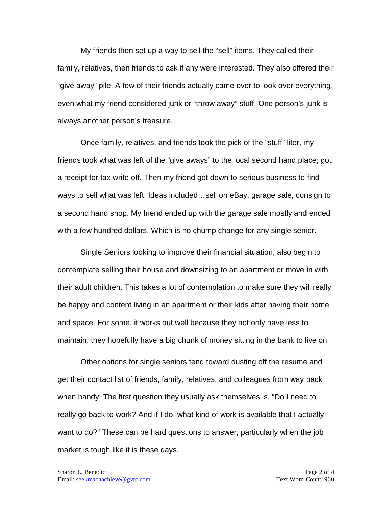My friends then set up a way to sell the "sell" items. They called their family, relatives, then friends to ask if any were interested. They also offered their "give away" pile. A few of their friends actually came over to look over everything, even what my friend considered junk or "throw away" stuff. One person's junk is always another person's treasure.

Once family, relatives, and friends took the pick of the "stuff" liter, my friends took what was left of the "give aways" to the local second hand place; got a receipt for tax write off. Then my friend got down to serious business to find ways to sell what was left. Ideas included…sell on eBay, garage sale, consign to a second hand shop. My friend ended up with the garage sale mostly and ended with a few hundred dollars. Which is no chump change for any single senior.

Single Seniors looking to improve their financial situation, also begin to contemplate selling their house and downsizing to an apartment or move in with their adult children. This takes a lot of contemplation to make sure they will really be happy and content living in an apartment or their kids after having their home and space. For some, it works out well because they not only have less to maintain, they hopefully have a big chunk of money sitting in the bank to live on.

Other options for single seniors tend toward dusting off the resume and get their contact list of friends, family, relatives, and colleagues from way back when handy! The first question they usually ask themselves is, "Do I need to really go back to work? And if I do, what kind of work is available that I actually want to do?" These can be hard questions to answer, particularly when the job market is tough like it is these days.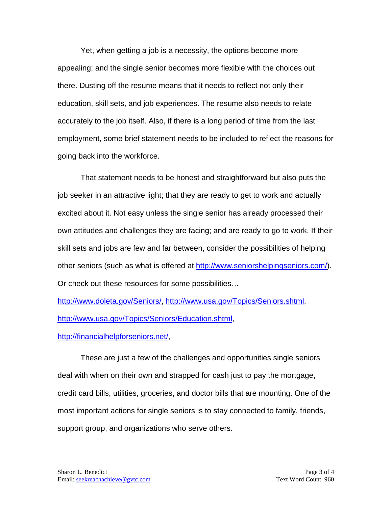Yet, when getting a job is a necessity, the options become more appealing; and the single senior becomes more flexible with the choices out there. Dusting off the resume means that it needs to reflect not only their education, skill sets, and job experiences. The resume also needs to relate accurately to the job itself. Also, if there is a long period of time from the last employment, some brief statement needs to be included to reflect the reasons for going back into the workforce.

That statement needs to be honest and straightforward but also puts the job seeker in an attractive light; that they are ready to get to work and actually excited about it. Not easy unless the single senior has already processed their own attitudes and challenges they are facing; and are ready to go to work. If their skill sets and jobs are few and far between, consider the possibilities of helping other seniors (such as what is offered at [http://www.seniorshelpingseniors.com/\)](http://www.seniorshelpingseniors.com/). Or check out these resources for some possibilities…

[http://www.doleta.gov/Seniors/,](http://www.doleta.gov/Seniors/) [http://www.usa.gov/Topics/Seniors.shtml,](http://www.usa.gov/Topics/Seniors.shtml) [http://www.usa.gov/Topics/Seniors/Education.shtml,](http://www.usa.gov/Topics/Seniors/Education.shtml)

## [http://financialhelpforseniors.net/,](http://financialhelpforseniors.net/)

These are just a few of the challenges and opportunities single seniors deal with when on their own and strapped for cash just to pay the mortgage, credit card bills, utilities, groceries, and doctor bills that are mounting. One of the most important actions for single seniors is to stay connected to family, friends, support group, and organizations who serve others.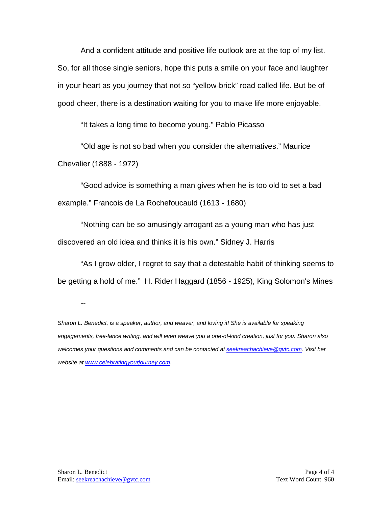And a confident attitude and positive life outlook are at the top of my list. So, for all those single seniors, hope this puts a smile on your face and laughter in your heart as you journey that not so "yellow-brick" road called life. But be of good cheer, there is a destination waiting for you to make life more enjoyable.

"It takes a long time to become young." Pablo Picasso

"Old age is not so bad when you consider the alternatives." Maurice Chevalier (1888 - 1972)

"Good advice is something a man gives when he is too old to set a bad example." Francois de La Rochefoucauld (1613 - 1680)

"Nothing can be so amusingly arrogant as a young man who has just discovered an old idea and thinks it is his own." Sidney J. Harris

"As I grow older, I regret to say that a detestable habit of thinking seems to be getting a hold of me." H. Rider Haggard (1856 - 1925), King Solomon's Mines

--

*Sharon L. Benedict, is a speaker, author, and weaver, and loving it! She is available for speaking engagements, free-lance writing, and will even weave you a one-of-kind creation, just for you. Sharon also welcomes your questions and comments and can be contacted a[t seekreachachieve@gvtc.com.](mailto:seekreachachieve@gvtc.com) Visit her website at [www.celebratingyourjourney.com.](http://www.celebratingyourjourney.com/)*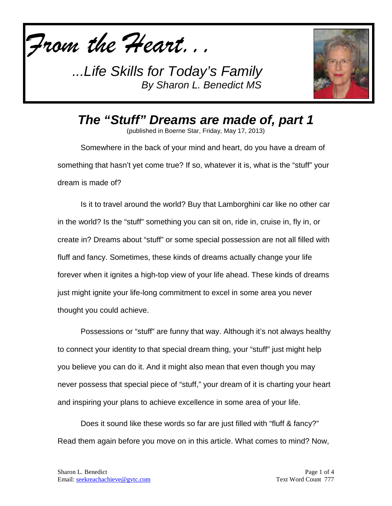*From the Heart...*



*The "Stuff" Dreams are made of, part 1*

(published in Boerne Star, Friday, May 17, 2013)

Somewhere in the back of your mind and heart, do you have a dream of something that hasn't yet come true? If so, whatever it is, what is the "stuff" your dream is made of?

Is it to travel around the world? Buy that Lamborghini car like no other car in the world? Is the "stuff" something you can sit on, ride in, cruise in, fly in, or create in? Dreams about "stuff" or some special possession are not all filled with fluff and fancy. Sometimes, these kinds of dreams actually change your life forever when it ignites a high-top view of your life ahead. These kinds of dreams just might ignite your life-long commitment to excel in some area you never thought you could achieve.

Possessions or "stuff" are funny that way. Although it's not always healthy to connect your identity to that special dream thing, your "stuff" just might help you believe you can do it. And it might also mean that even though you may never possess that special piece of "stuff," your dream of it is charting your heart and inspiring your plans to achieve excellence in some area of your life.

Does it sound like these words so far are just filled with "fluff & fancy?" Read them again before you move on in this article. What comes to mind? Now,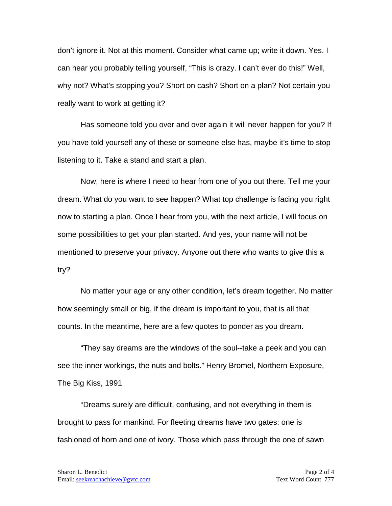don't ignore it. Not at this moment. Consider what came up; write it down. Yes. I can hear you probably telling yourself, "This is crazy. I can't ever do this!" Well, why not? What's stopping you? Short on cash? Short on a plan? Not certain you really want to work at getting it?

Has someone told you over and over again it will never happen for you? If you have told yourself any of these or someone else has, maybe it's time to stop listening to it. Take a stand and start a plan.

Now, here is where I need to hear from one of you out there. Tell me your dream. What do you want to see happen? What top challenge is facing you right now to starting a plan. Once I hear from you, with the next article, I will focus on some possibilities to get your plan started. And yes, your name will not be mentioned to preserve your privacy. Anyone out there who wants to give this a try?

No matter your age or any other condition, let's dream together. No matter how seemingly small or big, if the dream is important to you, that is all that counts. In the meantime, here are a few quotes to ponder as you dream.

"They say dreams are the windows of the soul--take a peek and you can see the inner workings, the nuts and bolts." Henry Bromel, Northern Exposure, The Big Kiss, 1991

"Dreams surely are difficult, confusing, and not everything in them is brought to pass for mankind. For fleeting dreams have two gates: one is fashioned of horn and one of ivory. Those which pass through the one of sawn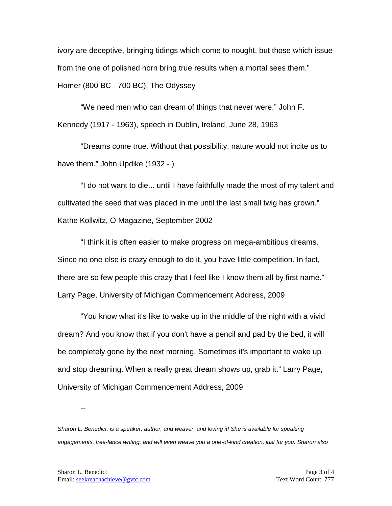ivory are deceptive, bringing tidings which come to nought, but those which issue from the one of polished horn bring true results when a mortal sees them." Homer (800 BC - 700 BC), The Odyssey

"We need men who can dream of things that never were." John F. Kennedy (1917 - 1963), speech in Dublin, Ireland, June 28, 1963

"Dreams come true. Without that possibility, nature would not incite us to have them." John Updike (1932 - )

"I do not want to die... until I have faithfully made the most of my talent and cultivated the seed that was placed in me until the last small twig has grown." Kathe Kollwitz, O Magazine, September 2002

"I think it is often easier to make progress on mega-ambitious dreams. Since no one else is crazy enough to do it, you have little competition. In fact, there are so few people this crazy that I feel like I know them all by first name." Larry Page, University of Michigan Commencement Address, 2009

"You know what it's like to wake up in the middle of the night with a vivid dream? And you know that if you don't have a pencil and pad by the bed, it will be completely gone by the next morning. Sometimes it's important to wake up and stop dreaming. When a really great dream shows up, grab it." Larry Page, University of Michigan Commencement Address, 2009

--

*Sharon L. Benedict, is a speaker, author, and weaver, and loving it! She is available for speaking engagements, free-lance writing, and will even weave you a one-of-kind creation, just for you. Sharon also*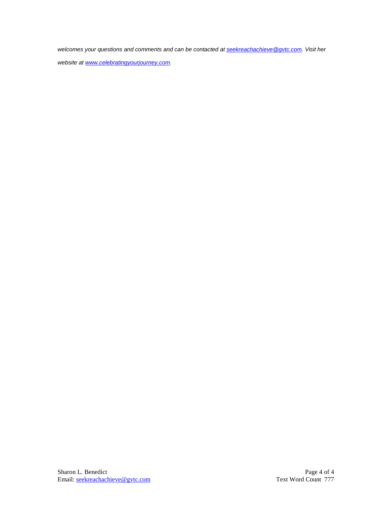*welcomes your questions and comments and can be contacted a[t seekreachachieve@gvtc.com.](mailto:seekreachachieve@gvtc.com) Visit her* 

*website at [www.celebratingyourjourney.com.](http://www.celebratingyourjourney.com/)*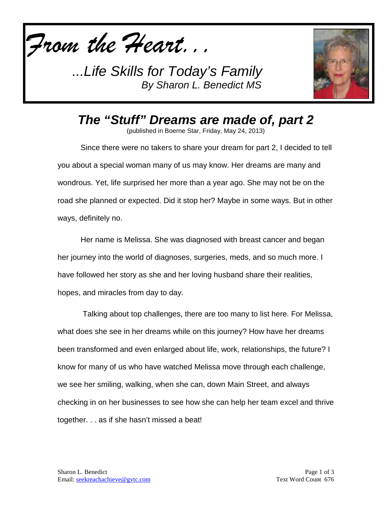



*The "Stuff" Dreams are made of, part 2*

(published in Boerne Star, Friday, May 24, 2013)

Since there were no takers to share your dream for part 2, I decided to tell you about a special woman many of us may know. Her dreams are many and wondrous. Yet, life surprised her more than a year ago. She may not be on the road she planned or expected. Did it stop her? Maybe in some ways. But in other ways, definitely no.

Her name is Melissa. She was diagnosed with breast cancer and began her journey into the world of diagnoses, surgeries, meds, and so much more. I have followed her story as she and her loving husband share their realities, hopes, and miracles from day to day.

Talking about top challenges, there are too many to list here. For Melissa, what does she see in her dreams while on this journey? How have her dreams been transformed and even enlarged about life, work, relationships, the future? I know for many of us who have watched Melissa move through each challenge, we see her smiling, walking, when she can, down Main Street, and always checking in on her businesses to see how she can help her team excel and thrive together. . . as if she hasn't missed a beat!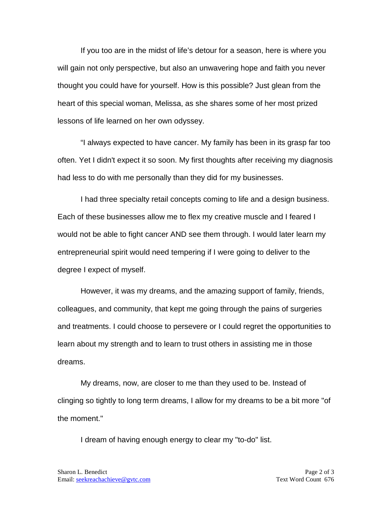If you too are in the midst of life's detour for a season, here is where you will gain not only perspective, but also an unwavering hope and faith you never thought you could have for yourself. How is this possible? Just glean from the heart of this special woman, Melissa, as she shares some of her most prized lessons of life learned on her own odyssey.

"I always expected to have cancer. My family has been in its grasp far too often. Yet I didn't expect it so soon. My first thoughts after receiving my diagnosis had less to do with me personally than they did for my businesses.

I had three specialty retail concepts coming to life and a design business. Each of these businesses allow me to flex my creative muscle and I feared I would not be able to fight cancer AND see them through. I would later learn my entrepreneurial spirit would need tempering if I were going to deliver to the degree I expect of myself.

However, it was my dreams, and the amazing support of family, friends, colleagues, and community, that kept me going through the pains of surgeries and treatments. I could choose to persevere or I could regret the opportunities to learn about my strength and to learn to trust others in assisting me in those dreams.

My dreams, now, are closer to me than they used to be. Instead of clinging so tightly to long term dreams, I allow for my dreams to be a bit more "of the moment."

I dream of having enough energy to clear my "to-do" list.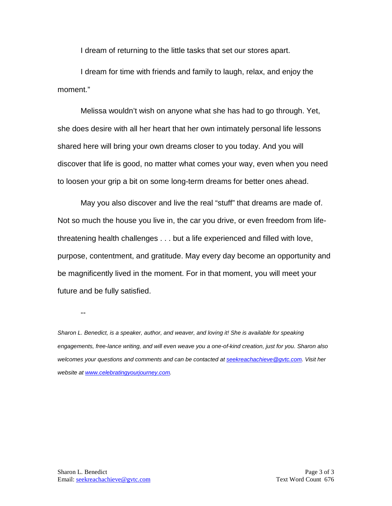I dream of returning to the little tasks that set our stores apart.

I dream for time with friends and family to laugh, relax, and enjoy the moment."

Melissa wouldn't wish on anyone what she has had to go through. Yet, she does desire with all her heart that her own intimately personal life lessons shared here will bring your own dreams closer to you today. And you will discover that life is good, no matter what comes your way, even when you need to loosen your grip a bit on some long-term dreams for better ones ahead.

May you also discover and live the real "stuff" that dreams are made of. Not so much the house you live in, the car you drive, or even freedom from lifethreatening health challenges . . . but a life experienced and filled with love, purpose, contentment, and gratitude. May every day become an opportunity and be magnificently lived in the moment. For in that moment, you will meet your future and be fully satisfied.

--

*Sharon L. Benedict, is a speaker, author, and weaver, and loving it! She is available for speaking engagements, free-lance writing, and will even weave you a one-of-kind creation, just for you. Sharon also welcomes your questions and comments and can be contacted a[t seekreachachieve@gvtc.com.](mailto:seekreachachieve@gvtc.com) Visit her website at [www.celebratingyourjourney.com.](http://www.celebratingyourjourney.com/)*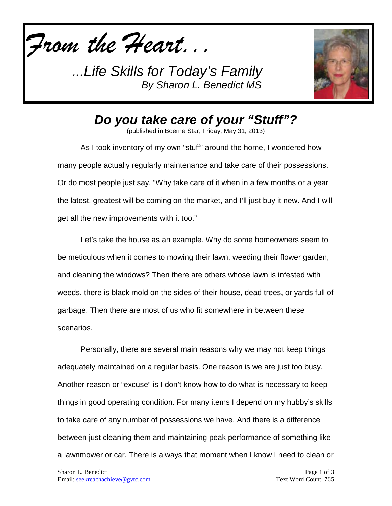*From the Heart...*



*Do you take care of your "Stuff"?*

(published in Boerne Star, Friday, May 31, 2013)

As I took inventory of my own "stuff" around the home, I wondered how many people actually regularly maintenance and take care of their possessions. Or do most people just say, "Why take care of it when in a few months or a year the latest, greatest will be coming on the market, and I'll just buy it new. And I will get all the new improvements with it too."

Let's take the house as an example. Why do some homeowners seem to be meticulous when it comes to mowing their lawn, weeding their flower garden, and cleaning the windows? Then there are others whose lawn is infested with weeds, there is black mold on the sides of their house, dead trees, or yards full of garbage. Then there are most of us who fit somewhere in between these scenarios.

Personally, there are several main reasons why we may not keep things adequately maintained on a regular basis. One reason is we are just too busy. Another reason or "excuse" is I don't know how to do what is necessary to keep things in good operating condition. For many items I depend on my hubby's skills to take care of any number of possessions we have. And there is a difference between just cleaning them and maintaining peak performance of something like a lawnmower or car. There is always that moment when I know I need to clean or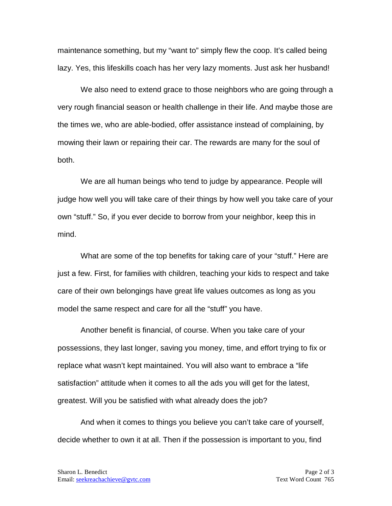maintenance something, but my "want to" simply flew the coop. It's called being lazy. Yes, this lifeskills coach has her very lazy moments. Just ask her husband!

We also need to extend grace to those neighbors who are going through a very rough financial season or health challenge in their life. And maybe those are the times we, who are able-bodied, offer assistance instead of complaining, by mowing their lawn or repairing their car. The rewards are many for the soul of both.

We are all human beings who tend to judge by appearance. People will judge how well you will take care of their things by how well you take care of your own "stuff." So, if you ever decide to borrow from your neighbor, keep this in mind.

What are some of the top benefits for taking care of your "stuff." Here are just a few. First, for families with children, teaching your kids to respect and take care of their own belongings have great life values outcomes as long as you model the same respect and care for all the "stuff" you have.

Another benefit is financial, of course. When you take care of your possessions, they last longer, saving you money, time, and effort trying to fix or replace what wasn't kept maintained. You will also want to embrace a "life satisfaction" attitude when it comes to all the ads you will get for the latest, greatest. Will you be satisfied with what already does the job?

And when it comes to things you believe you can't take care of yourself, decide whether to own it at all. Then if the possession is important to you, find